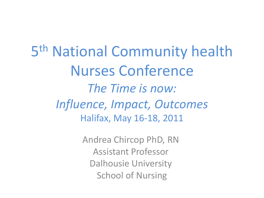5 th National Community health Nurses Conference *The Time is now: Influence, Impact, Outcomes* Halifax, May 16-18, 2011

> Andrea Chircop PhD, RN Assistant Professor Dalhousie University School of Nursing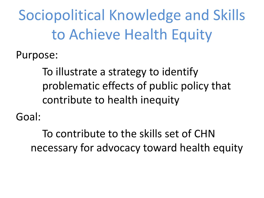Sociopolitical Knowledge and Skills to Achieve Health Equity

Purpose:

To illustrate a strategy to identify problematic effects of public policy that contribute to health inequity

Goal:

To contribute to the skills set of CHN necessary for advocacy toward health equity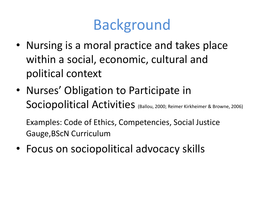### Background

- Nursing is a moral practice and takes place within a social, economic, cultural and political context
- Nurses' Obligation to Participate in Sociopolitical Activities (Ballou, 2000; Reimer Kirkheimer & Browne, 2006)

Examples: Code of Ethics, Competencies, Social Justice Gauge,BScN Curriculum

• Focus on sociopolitical advocacy skills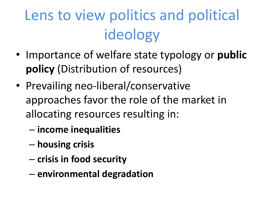# Lens to view politics and political ideology

- Importance of welfare state typology or **public policy** (Distribution of resources)
- Prevailing neo-liberal/conservative approaches favor the role of the market in allocating resources resulting in:
	- **income inequalities**
	- **housing crisis**
	- **crisis in food security**
	- **environmental degradation**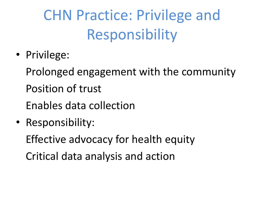# CHN Practice: Privilege and Responsibility

• Privilege:

Prolonged engagement with the community Position of trust Enables data collection

• Responsibility:

Effective advocacy for health equity

Critical data analysis and action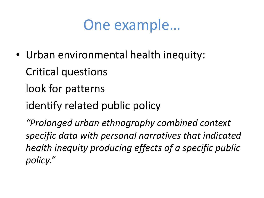### One example…

• Urban environmental health inequity:

Critical questions

look for patterns

identify related public policy

*"Prolonged urban ethnography combined context specific data with personal narratives that indicated health inequity producing effects of a specific public policy."*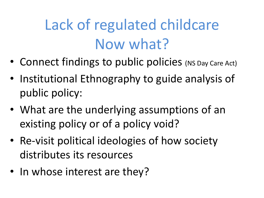## Lack of regulated childcare Now what?

- Connect findings to public policies (NS Day Care Act)
- Institutional Ethnography to guide analysis of public policy:
- What are the underlying assumptions of an existing policy or of a policy void?
- Re-visit political ideologies of how society distributes its resources
- In whose interest are they?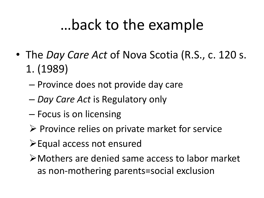### …back to the example

- The *Day Care Act* of Nova Scotia (R.S., c. 120 s. 1. (1989)
	- Province does not provide day care
	- *Day Care Act* is Regulatory only
	- Focus is on licensing
	- $\triangleright$  Province relies on private market for service
	- Equal access not ensured
	- Mothers are denied same access to labor market as non-mothering parents=social exclusion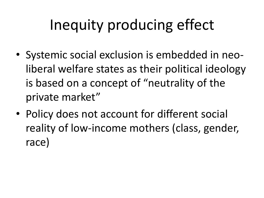## Inequity producing effect

- Systemic social exclusion is embedded in neoliberal welfare states as their political ideology is based on a concept of "neutrality of the private market"
- Policy does not account for different social reality of low-income mothers (class, gender, race)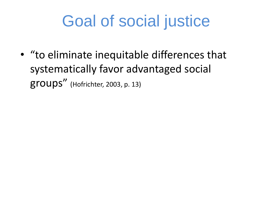## Goal of social justice

• "to eliminate inequitable differences that systematically favor advantaged social groups" (Hofrichter, 2003, p. 13)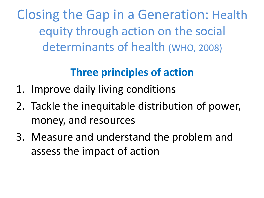Closing the Gap in a Generation: Health equity through action on the social determinants of health (WHO, 2008)

#### **Three principles of action**

- 1. Improve daily living conditions
- 2. Tackle the inequitable distribution of power, money, and resources
- 3. Measure and understand the problem and assess the impact of action